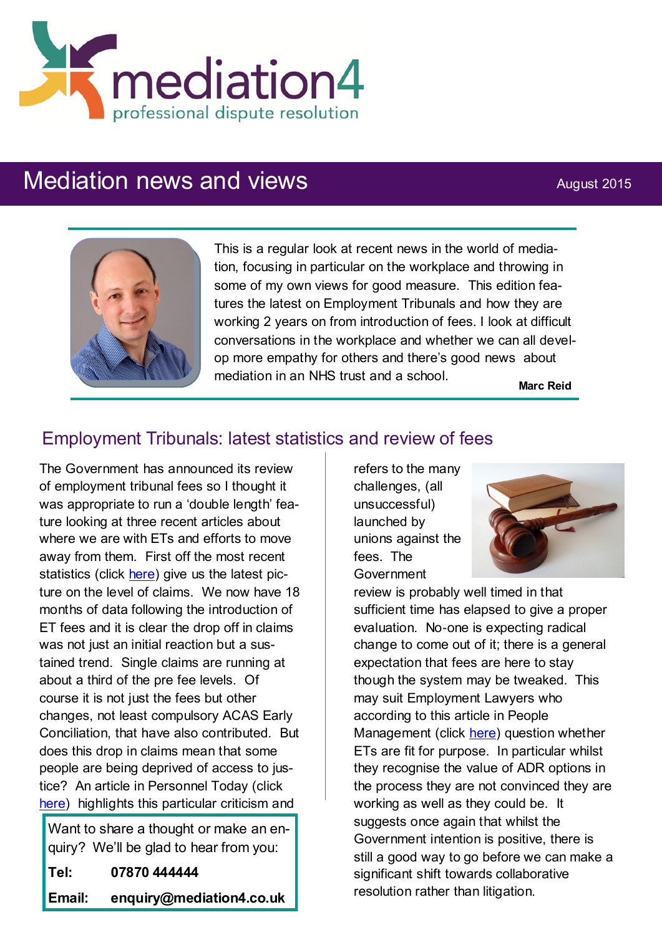

# Mediation news and views August 2015



This is a regular look at recent news in the world of mediation, focusing in particular on the workplace and throwing in some of my own views for good measure. This edition features the latest on Employment Tribunals and how they are working 2 years on from introduction of fees. I look at difficult conversations in the workplace and whether we can all develop more empathy for others and there's good news about mediation in an NHS trust and a school.

**Marc Reid**

## Employment Tribunals: latest statistics and review of fees

The Government has announced its review of employment tribunal fees so I thought it was appropriate to run a 'double length' feature looking at three recent articles about where we are with ETs and efforts to move away from them. First off the most recent statistics (click [here\)](http://www.eliaction.com/tribunal-quarterly-statistics-january-to-march-2015/) give us the latest picture on the level of claims. We now have 18 months of data following the introduction of ET fees and it is clear the drop off in claims was not just an initial reaction but a sustained trend. Single claims are running at about a third of the pre fee levels. Of course it is not just the fees but other changes, not least compulsory ACAS Early Conciliation, that have also contributed. But does this drop in claims mean that some people are being deprived of access to justice? An article in Personnel Today (click [here\)](http://www.personneltoday.com/hr/government-launches-review-employment-tribunal-fees/) highlights this particular criticism and

Want to share a thought or make an enquiry? We'll be glad to hear from you:

**Tel: 07870 444444**

**Email: enquiry@mediation4.co.uk**

refers to the many challenges, (all unsuccessful) launched by unions against the fees. The Government



review is probably well timed in that sufficient time has elapsed to give a proper evaluation. No-one is expecting radical change to come out of it; there is a general expectation that fees are here to stay though the system may be tweaked. This may suit Employment Lawyers who according to this article in People Management (click [here\)](http://www.cipd.co.uk/pm/peoplemanagement/b/weblog/archive/2015/08/13/employment-lawyers-question-whether-tribunal-system-is-fit-for-purpose.aspx?utm_medium=email&utm_source=cipd&utm_campaign=pm_daily&utm_term=570597&utm_content=pm_daily_130815-3202-3028-8) question whether ETs are fit for purpose. In particular whilst they recognise the value of ADR options in the process they are not convinced they are working as well as they could be. It suggests once again that whilst the Government intention is positive, there is still a good way to go before we can make a significant shift towards collaborative resolution rather than litigation.